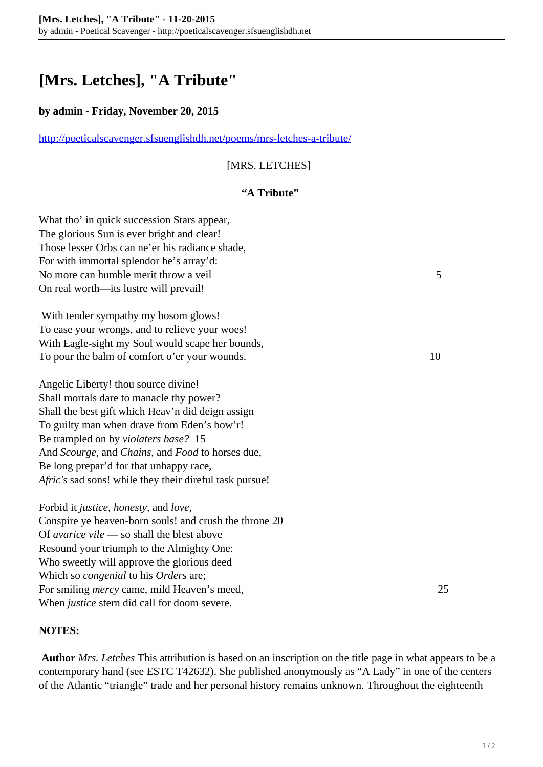# **[Mrs. Letches], "A Tribute"**

#### **by admin - Friday, November 20, 2015**

<http://poeticalscavenger.sfsuenglishdh.net/poems/mrs-letches-a-tribute/>

## [MRS. LETCHES]

### **"A Tribute"**

What tho' in quick succession Stars appear, The glorious Sun is ever bright and clear! Those lesser Orbs can ne'er his radiance shade, For with immortal splendor he's array'd: No more can humble merit throw a veil 5 On real worth—its lustre will prevail!

 With tender sympathy my bosom glows! To ease your wrongs, and to relieve your woes! With Eagle-sight my Soul would scape her bounds, To pour the balm of comfort o'er your wounds. 10

Angelic Liberty! thou source divine! Shall mortals dare to manacle thy power? Shall the best gift which Heav'n did deign assign To guilty man when drave from Eden's bow'r! Be trampled on by *violaters base?* 15 And *Scourge,* and *Chains,* and *Food* to horses due, Be long prepar'd for that unhappy race, *Afric's* sad sons! while they their direful task pursue!

Forbid it *justice, honesty,* and *love,* Conspire ye heaven-born souls! and crush the throne 20 Of *avarice vile* — so shall the blest above Resound your triumph to the Almighty One: Who sweetly will approve the glorious deed Which so *congenial* to his *Orders* are; For smiling *mercy* came, mild Heaven's meed, 25 When *justice* stern did call for doom severe.

#### **NOTES:**

**Author** *Mrs. Letches* This attribution is based on an inscription on the title page in what appears to be a contemporary hand (see ESTC T42632). She published anonymously as "A Lady" in one of the centers of the Atlantic "triangle" trade and her personal history remains unknown. Throughout the eighteenth